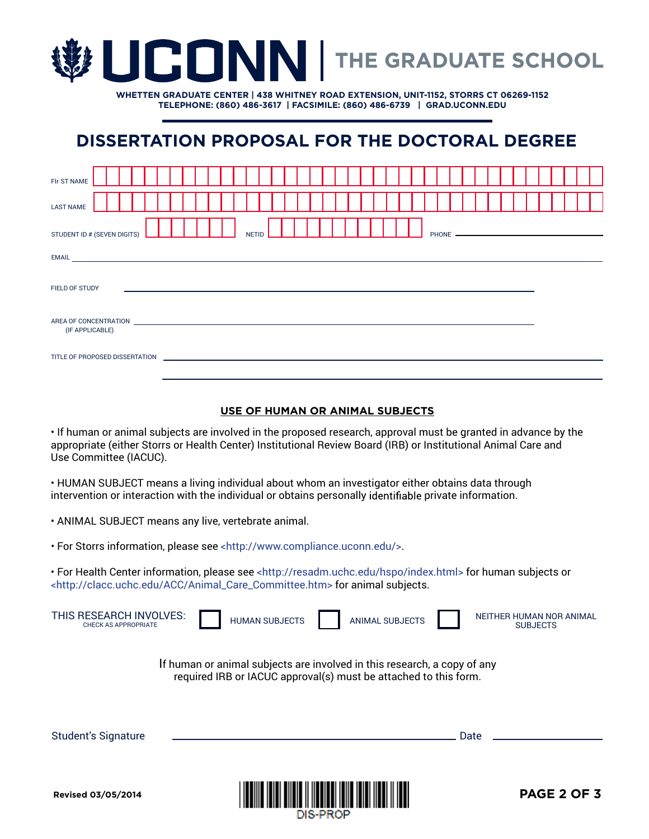

**WHETTEN GRADUATE CENTER | 438 WHITNEY ROAD EXTENSION, UNIT-1152, STORRS CT 06269-1152 TELEPHONE: (860) 486-3617 | FACSIMILE: (860) 486-6739 | GRAD.UCONN.EDU**

# **DISSERTATION PROPOSAL FOR THE DOCTORAL DEGREE**

| FIr ST NAME                                                                                                                                                                                                                                       |              |  |  |  |  |
|---------------------------------------------------------------------------------------------------------------------------------------------------------------------------------------------------------------------------------------------------|--------------|--|--|--|--|
| <b>LAST NAME</b>                                                                                                                                                                                                                                  |              |  |  |  |  |
| STUDENT ID # (SEVEN DIGITS)                                                                                                                                                                                                                       | <b>NETID</b> |  |  |  |  |
| EMAIL <u>And a straight and a straight and a straight and a straight and a straight and a straight and a straight</u>                                                                                                                             |              |  |  |  |  |
| FIELD OF STUDY                                                                                                                                                                                                                                    |              |  |  |  |  |
| AREA OF CONCENTRATION AND THE STATE OF STATES AND THE STATE OF STATES OF STATES AND THE STATES OF STATES OF STATES OF STATES OF STATES OF STATES OF STATES AND THE STATES OF STATES OF STATES OF STATES OF STATES OF STATES OF<br>(IF APPLICABLE) |              |  |  |  |  |
| TITLE OF PROPOSED DISSERTATION                                                                                                                                                                                                                    |              |  |  |  |  |

#### **USE OF HUMAN OR ANIMAL SUBJECTS**

• If human or animal subjects are involved in the proposed research, approval must be granted in advance by the appropriate (either Storrs or Health Center) Institutional Review Board (IRB) or Institutional Animal Care and Use Committee (IACUC).

• HUMAN SUBJECT means a living individual about whom an investigator either obtains data through intervention or interaction with the individual or obtains personally identifiable private information.

• ANIMAL SUBJECT means any live, vertebrate animal.

• For Storrs information, please see <http://www.compliance.uconn.edu/>.

• For Health Center information, please see <http://resadm.uchc.edu/hspo/index.html> for human subjects or <http://clacc.uchc.edu/ACC/Animal\_Care\_Committee.htm> for animal subjects.

| <b>Doviced 03/05/2014</b>                                                                                                                    |  | Ш                     |  |                        | DAGE 2 OF 3                                 |
|----------------------------------------------------------------------------------------------------------------------------------------------|--|-----------------------|--|------------------------|---------------------------------------------|
| <b>Student's Signature</b>                                                                                                                   |  |                       |  |                        | Date                                        |
| If human or animal subjects are involved in this research, a copy of any<br>required IRB or IACUC approval(s) must be attached to this form. |  |                       |  |                        |                                             |
| THIS RESEARCH INVOLVES:<br><b>CHECK AS APPROPRIATE</b>                                                                                       |  | <b>HUMAN SUBJECTS</b> |  | <b>ANIMAL SUBJECTS</b> | NEITHER HUMAN NOR ANIMAL<br><b>SUBJECTS</b> |

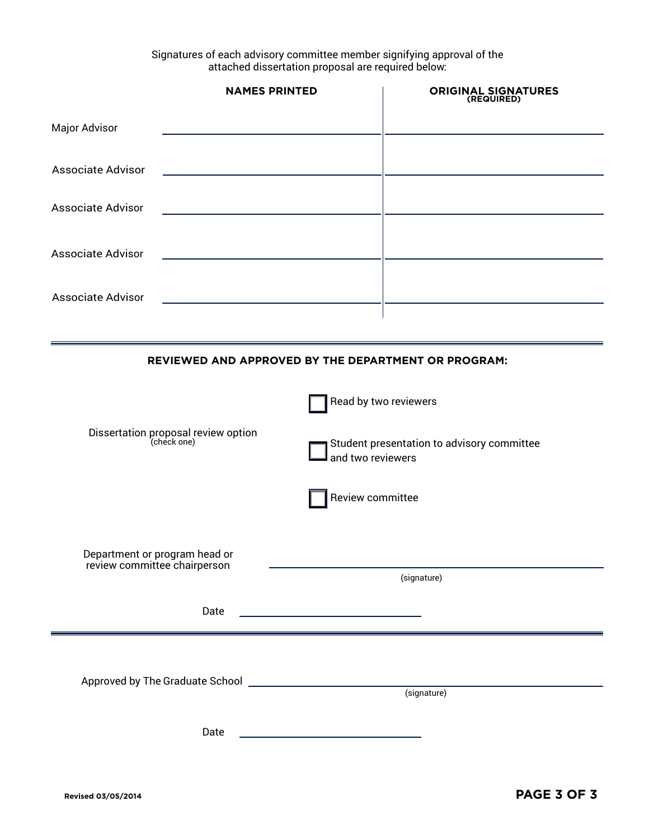Signatures of each advisory committee member signifying approval of the attached dissertation proposal are required below:

|                          | <b>NAMES PRINTED</b> | <b>ORIGINAL SIGNATURES</b> |
|--------------------------|----------------------|----------------------------|
| <b>Major Advisor</b>     |                      |                            |
| <b>Associate Advisor</b> |                      |                            |
| <b>Associate Advisor</b> |                      |                            |
| <b>Associate Advisor</b> |                      |                            |
| <b>Associate Advisor</b> |                      |                            |

#### **REVIEWED AND APPROVED BY THE DEPARTMENT OR PROGRAM:**

|                                                               | Read by two reviewers                                           |  |  |  |
|---------------------------------------------------------------|-----------------------------------------------------------------|--|--|--|
| Dissertation proposal review option<br>(check one)            | Student presentation to advisory committee<br>and two reviewers |  |  |  |
|                                                               | Review committee                                                |  |  |  |
| Department or program head or<br>review committee chairperson | (signature)                                                     |  |  |  |
| Date                                                          |                                                                 |  |  |  |
|                                                               |                                                                 |  |  |  |
|                                                               | (signature)                                                     |  |  |  |
| Date                                                          |                                                                 |  |  |  |